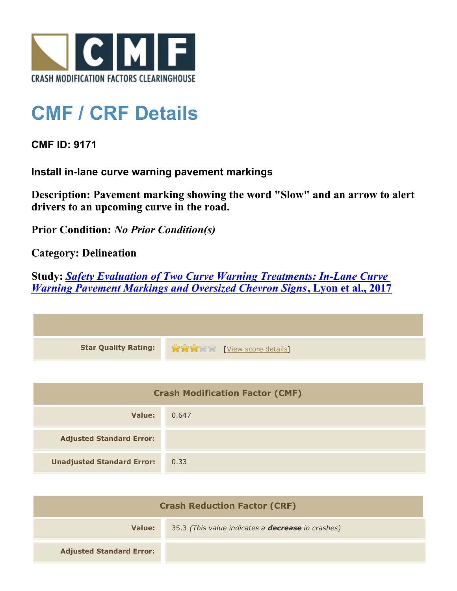

## **CMF / CRF Details**

**CMF ID: 9171**

**Install in-lane curve warning pavement markings**

**Description: Pavement marking showing the word "Slow" and an arrow to alert drivers to an upcoming curve in the road.**

**Prior Condition:** *No Prior Condition(s)*

**Category: Delineation**

**Study:** *[Safety Evaluation of Two Curve Warning Treatments: In-Lane Curve](http://www.cmfclearinghouse.org/study_detail.cfm?stid=482) [Warning Pavement Markings and Oversized Chevron Signs](http://www.cmfclearinghouse.org/study_detail.cfm?stid=482)***[, Lyon et al., 2017](http://www.cmfclearinghouse.org/study_detail.cfm?stid=482)**

| Star Quality Rating: 19 20 20 [View score details] |
|----------------------------------------------------|

| <b>Crash Modification Factor (CMF)</b> |       |
|----------------------------------------|-------|
| Value:                                 | 0.647 |
| <b>Adjusted Standard Error:</b>        |       |
| <b>Unadjusted Standard Error:</b>      | 0.33  |

| <b>Crash Reduction Factor (CRF)</b> |                                                          |
|-------------------------------------|----------------------------------------------------------|
| Value:                              | 35.3 (This value indicates a <b>decrease</b> in crashes) |
| <b>Adjusted Standard Error:</b>     |                                                          |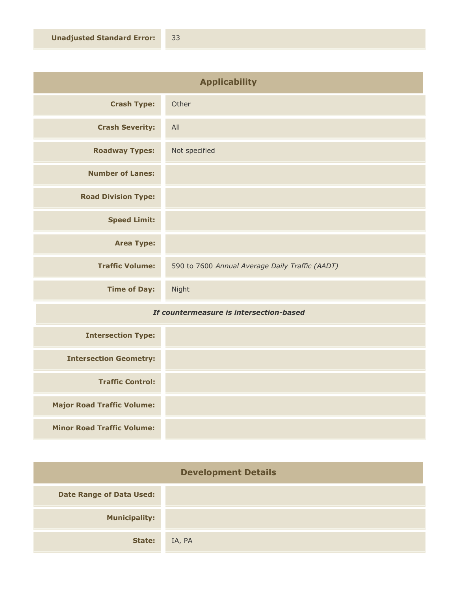| <b>Applicability</b>       |                                                 |
|----------------------------|-------------------------------------------------|
| <b>Crash Type:</b>         | Other                                           |
| <b>Crash Severity:</b>     | All                                             |
| <b>Roadway Types:</b>      | Not specified                                   |
| <b>Number of Lanes:</b>    |                                                 |
| <b>Road Division Type:</b> |                                                 |
| <b>Speed Limit:</b>        |                                                 |
| <b>Area Type:</b>          |                                                 |
| <b>Traffic Volume:</b>     | 590 to 7600 Annual Average Daily Traffic (AADT) |
| <b>Time of Day:</b>        | Night                                           |

## *If countermeasure is intersection-based*

| <b>Intersection Type:</b>         |  |
|-----------------------------------|--|
| <b>Intersection Geometry:</b>     |  |
| <b>Traffic Control:</b>           |  |
| <b>Major Road Traffic Volume:</b> |  |
| <b>Minor Road Traffic Volume:</b> |  |

| <b>Development Details</b>      |        |
|---------------------------------|--------|
| <b>Date Range of Data Used:</b> |        |
| <b>Municipality:</b>            |        |
| State:                          | IA, PA |